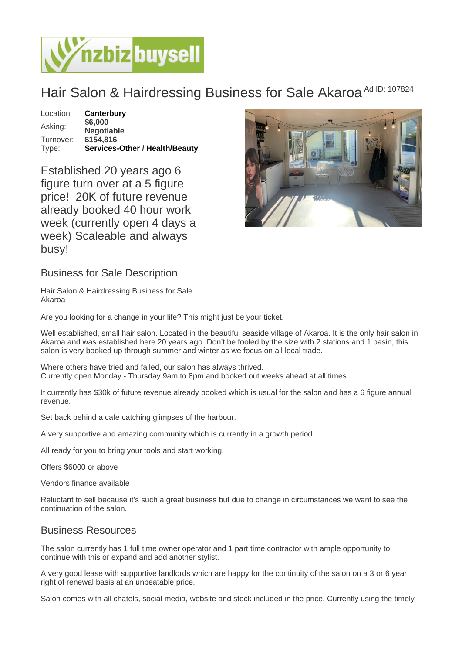## Hair Salon & Hairdressing Business for Sale Akaroa Ad ID: 107824

Location: [Canterbury](https://www.nzbizbuysell.co.nz/businesses-for-sale/location/Canterbury) Asking: \$6,000 **Negotiable** Turnover: \$154,816 Type: [Services-Other](https://www.nzbizbuysell.co.nz/businesses-for-sale/Services/New-Zealand) / [Health/Beauty](https://www.nzbizbuysell.co.nz/businesses-for-sale/Health--Beauty/New-Zealand)

Established 20 years ago 6 figure turn over at a 5 figure price! 20K of future revenue already booked 40 hour work week (currently open 4 days a week) Scaleable and always busy!

Business for Sale Description

Hair Salon & Hairdressing Business for Sale Akaroa

Are you looking for a change in your life? This might just be your ticket.

Well established, small hair salon. Located in the beautiful seaside village of Akaroa. It is the only hair salon in Akaroa and was established here 20 years ago. Don't be fooled by the size with 2 stations and 1 basin, this salon is very booked up through summer and winter as we focus on all local trade.

Where others have tried and failed, our salon has always thrived. Currently open Monday - Thursday 9am to 8pm and booked out weeks ahead at all times.

It currently has \$30k of future revenue already booked which is usual for the salon and has a 6 figure annual revenue.

Set back behind a cafe catching glimpses of the harbour.

A very supportive and amazing community which is currently in a growth period.

All ready for you to bring your tools and start working.

Offers \$6000 or above

Vendors finance available

Reluctant to sell because it's such a great business but due to change in circumstances we want to see the continuation of the salon.

## Business Resources

The salon currently has 1 full time owner operator and 1 part time contractor with ample opportunity to continue with this or expand and add another stylist.

A very good lease with supportive landlords which are happy for the continuity of the salon on a 3 or 6 year right of renewal basis at an unbeatable price.

Salon comes with all chatels, social media, website and stock included in the price. Currently using the timely